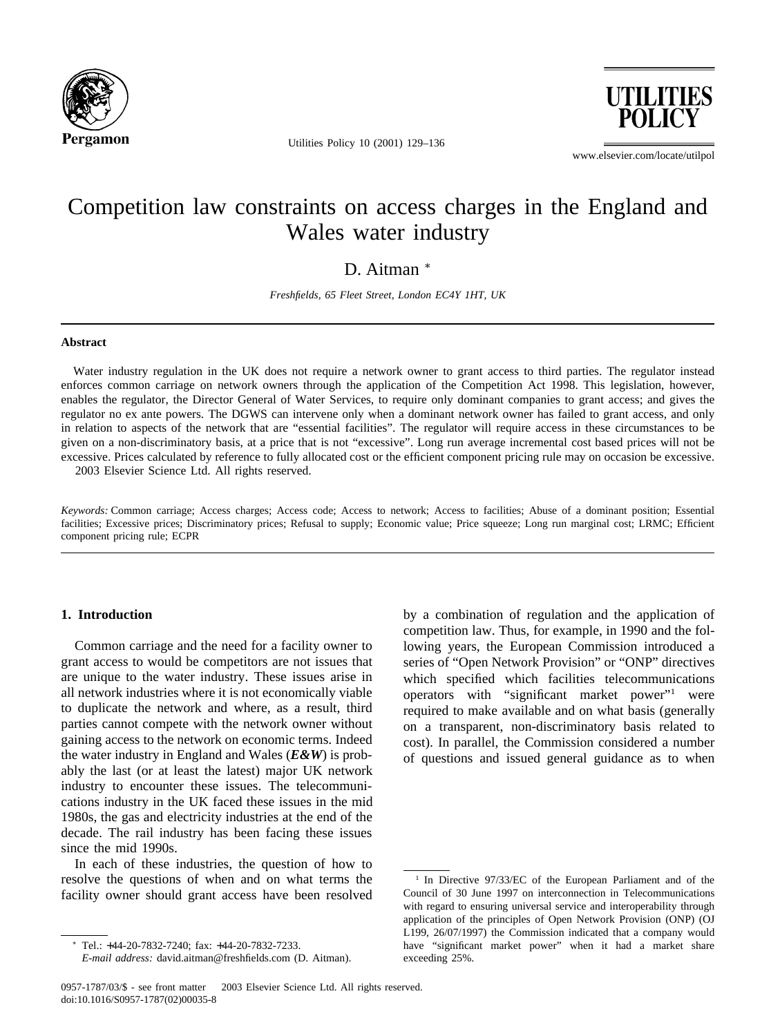

Utilities Policy 10 (2001) 129–136



www.elsevier.com/locate/utilpol

## Competition law constraints on access charges in the England and Wales water industry

D. Aitman <sup>∗</sup>

*Freshfields, 65 Fleet Street, London EC4Y 1HT, UK*

## **Abstract**

Water industry regulation in the UK does not require a network owner to grant access to third parties. The regulator instead enforces common carriage on network owners through the application of the Competition Act 1998. This legislation, however, enables the regulator, the Director General of Water Services, to require only dominant companies to grant access; and gives the regulator no ex ante powers. The DGWS can intervene only when a dominant network owner has failed to grant access, and only in relation to aspects of the network that are "essential facilities". The regulator will require access in these circumstances to be given on a non-discriminatory basis, at a price that is not "excessive". Long run average incremental cost based prices will not be excessive. Prices calculated by reference to fully allocated cost or the efficient component pricing rule may on occasion be excessive. 2003 Elsevier Science Ltd. All rights reserved.

*Keywords:* Common carriage; Access charges; Access code; Access to network; Access to facilities; Abuse of a dominant position; Essential facilities; Excessive prices; Discriminatory prices; Refusal to supply; Economic value; Price squeeze; Long run marginal cost; LRMC; Efficient component pricing rule; ECPR

## **1. Introduction**

Common carriage and the need for a facility owner to grant access to would be competitors are not issues that are unique to the water industry. These issues arise in all network industries where it is not economically viable to duplicate the network and where, as a result, third parties cannot compete with the network owner without gaining access to the network on economic terms. Indeed the water industry in England and Wales (*E&W*) is probably the last (or at least the latest) major UK network industry to encounter these issues. The telecommunications industry in the UK faced these issues in the mid 1980s, the gas and electricity industries at the end of the decade. The rail industry has been facing these issues since the mid 1990s.

In each of these industries, the question of how to resolve the questions of when and on what terms the facility owner should grant access have been resolved

<sup>∗</sup> Tel.: +44-20-7832-7240; fax: +44-20-7832-7233.

by a combination of regulation and the application of competition law. Thus, for example, in 1990 and the following years, the European Commission introduced a series of "Open Network Provision" or "ONP" directives which specified which facilities telecommunications operators with "significant market power"1 were required to make available and on what basis (generally on a transparent, non-discriminatory basis related to cost). In parallel, the Commission considered a number of questions and issued general guidance as to when

*E-mail address:* david.aitman@freshfields.com (D. Aitman).

<sup>&</sup>lt;sup>1</sup> In Directive 97/33/EC of the European Parliament and of the Council of 30 June 1997 on interconnection in Telecommunications with regard to ensuring universal service and interoperability through application of the principles of Open Network Provision (ONP) (OJ L199, 26/07/1997) the Commission indicated that a company would have "significant market power" when it had a market share exceeding 25%.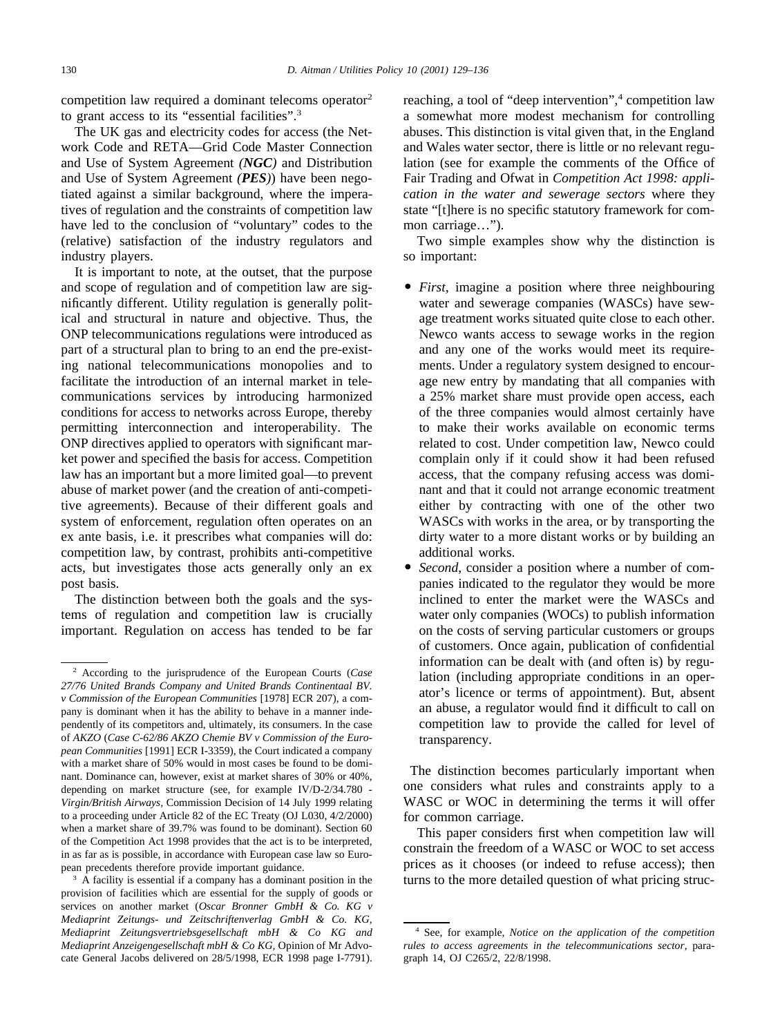competition law required a dominant telecoms operator<sup>2</sup> to grant access to its "essential facilities".<sup>3</sup>

The UK gas and electricity codes for access (the Network Code and RETA—Grid Code Master Connection and Use of System Agreement *(NGC)* and Distribution and Use of System Agreement *(PES)*) have been negotiated against a similar background, where the imperatives of regulation and the constraints of competition law have led to the conclusion of "voluntary" codes to the (relative) satisfaction of the industry regulators and industry players.

It is important to note, at the outset, that the purpose and scope of regulation and of competition law are significantly different. Utility regulation is generally political and structural in nature and objective. Thus, the ONP telecommunications regulations were introduced as part of a structural plan to bring to an end the pre-existing national telecommunications monopolies and to facilitate the introduction of an internal market in telecommunications services by introducing harmonized conditions for access to networks across Europe, thereby permitting interconnection and interoperability. The ONP directives applied to operators with significant market power and specified the basis for access. Competition law has an important but a more limited goal—to prevent abuse of market power (and the creation of anti-competitive agreements). Because of their different goals and system of enforcement, regulation often operates on an ex ante basis, i.e. it prescribes what companies will do: competition law, by contrast, prohibits anti-competitive acts, but investigates those acts generally only an ex post basis.

The distinction between both the goals and the systems of regulation and competition law is crucially important. Regulation on access has tended to be far

reaching, a tool of "deep intervention", <sup>4</sup> competition law a somewhat more modest mechanism for controlling abuses. This distinction is vital given that, in the England and Wales water sector, there is little or no relevant regulation (see for example the comments of the Office of Fair Trading and Ofwat in *Competition Act 1998: application in the water and sewerage sectors* where they state "[t]here is no specific statutory framework for common carriage…").

Two simple examples show why the distinction is so important:

- *First,* imagine a position where three neighbouring water and sewerage companies (WASCs) have sewage treatment works situated quite close to each other. Newco wants access to sewage works in the region and any one of the works would meet its requirements. Under a regulatory system designed to encourage new entry by mandating that all companies with a 25% market share must provide open access, each of the three companies would almost certainly have to make their works available on economic terms related to cost. Under competition law, Newco could complain only if it could show it had been refused access, that the company refusing access was dominant and that it could not arrange economic treatment either by contracting with one of the other two WASCs with works in the area, or by transporting the dirty water to a more distant works or by building an additional works.
- *Second*, consider a position where a number of companies indicated to the regulator they would be more inclined to enter the market were the WASCs and water only companies (WOCs) to publish information on the costs of serving particular customers or groups of customers. Once again, publication of confidential information can be dealt with (and often is) by regulation (including appropriate conditions in an operator's licence or terms of appointment). But, absent an abuse, a regulator would find it difficult to call on competition law to provide the called for level of transparency.

The distinction becomes particularly important when one considers what rules and constraints apply to a WASC or WOC in determining the terms it will offer for common carriage.

This paper considers first when competition law will constrain the freedom of a WASC or WOC to set access prices as it chooses (or indeed to refuse access); then turns to the more detailed question of what pricing struc-

<sup>2</sup> According to the jurisprudence of the European Courts (*Case 27/76 United Brands Company and United Brands Continentaal BV. v Commission of the European Communities* [1978] ECR 207), a company is dominant when it has the ability to behave in a manner independently of its competitors and, ultimately, its consumers. In the case of *AKZO* (*Case C-62/86 AKZO Chemie BV v Commission of the European Communities* [1991] ECR I-3359), the Court indicated a company with a market share of 50% would in most cases be found to be dominant. Dominance can, however, exist at market shares of 30% or 40%, depending on market structure (see, for example IV/D-2/34.780 - *Virgin/British Airways,* Commission Decision of 14 July 1999 relating to a proceeding under Article 82 of the EC Treaty (OJ L030, 4/2/2000) when a market share of 39.7% was found to be dominant). Section 60 of the Competition Act 1998 provides that the act is to be interpreted, in as far as is possible, in accordance with European case law so European precedents therefore provide important guidance.

<sup>&</sup>lt;sup>3</sup> A facility is essential if a company has a dominant position in the provision of facilities which are essential for the supply of goods or services on another market (*Oscar Bronner GmbH & Co. KG v Mediaprint Zeitungs- und Zeitschriftenverlag GmbH & Co. KG, Mediaprint Zeitungsvertriebsgesellschaft mbH & Co KG and Mediaprint Anzeigengesellschaft mbH & Co KG,* Opinion of Mr Advocate General Jacobs delivered on 28/5/1998, ECR 1998 page I-7791).

<sup>4</sup> See, for example, *Notice on the application of the competition rules to access agreements in the telecommunications sector*, paragraph 14, OJ C265/2, 22/8/1998.